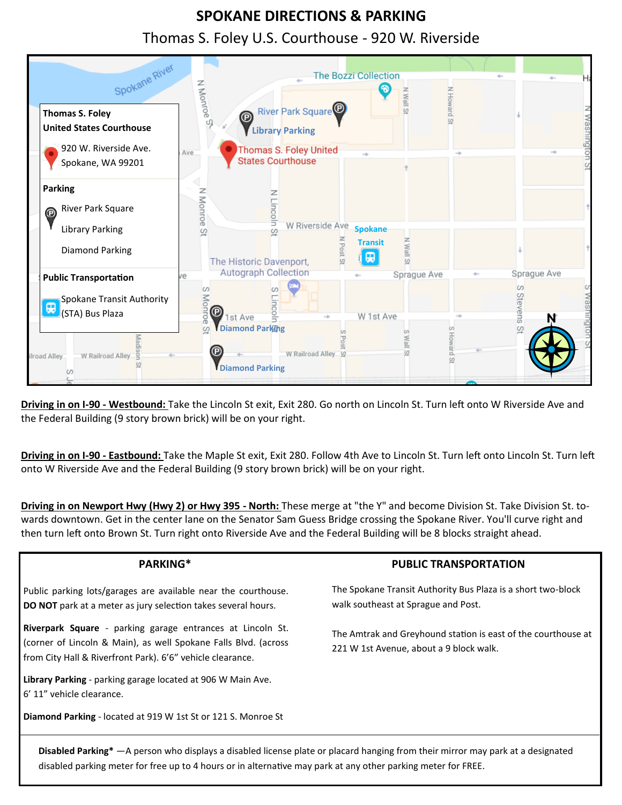## **SPOKANE DIRECTIONS & PARKING** Thomas S. Foley U.S. Courthouse - 920 W. Riverside



Driving in on I-90 - Westbound: Take the Lincoln St exit, Exit 280. Go north on Lincoln St. Turn left onto W Riverside Ave and the Federal Building (9 story brown brick) will be on your right.

**Driving in on I-90 - Eastbound:** Take the Maple St exit, Exit 280. Follow 4th Ave to Lincoln St. Turn left onto Lincoln St. Turn left onto W Riverside Ave and the Federal Building (9 story brown brick) will be on your right.

**Driving in on Newport Hwy (Hwy 2) or Hwy 395 ‐ North:** These merge at "the Y" and become Division St. Take Division St. towards downtown. Get in the center lane on the Senator Sam Guess Bridge crossing the Spokane River. You'll curve right and then turn left onto Brown St. Turn right onto Riverside Ave and the Federal Building will be 8 blocks straight ahead.

| PARKING*                                                                                                                                                                                    | <b>PUBLIC TRANSPORTATION</b>                                                                             |  |  |
|---------------------------------------------------------------------------------------------------------------------------------------------------------------------------------------------|----------------------------------------------------------------------------------------------------------|--|--|
| Public parking lots/garages are available near the courthouse.<br>DO NOT park at a meter as jury selection takes several hours.                                                             | The Spokane Transit Authority Bus Plaza is a short two-block<br>walk southeast at Sprague and Post.      |  |  |
| Riverpark Square - parking garage entrances at Lincoln St.<br>(corner of Lincoln & Main), as well Spokane Falls Blvd. (across<br>from City Hall & Riverfront Park). 6'6" vehicle clearance. | The Amtrak and Greyhound station is east of the courthouse at<br>221 W 1st Avenue, about a 9 block walk. |  |  |
| Library Parking - parking garage located at 906 W Main Ave.<br>6' 11" vehicle clearance.                                                                                                    |                                                                                                          |  |  |
| Diamond Parking - located at 919 W 1st St or 121 S. Monroe St                                                                                                                               |                                                                                                          |  |  |

**Disabled Parking\*** —A person who displays a disabled license plate or placard hanging from their mirror may park at a designated disabled parking meter for free up to 4 hours or in alternative may park at any other parking meter for FREE.